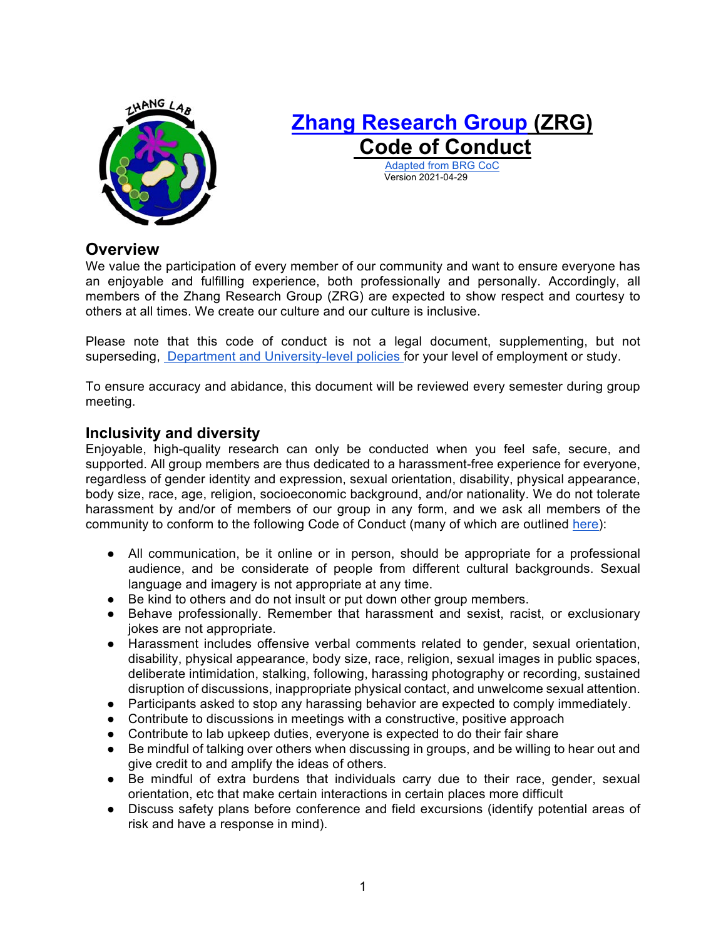

# **Zhang Research Group (ZRG)** Adapted from BRG CoC **Code of Conduct**

Version 2021-04-29

**Overview** 

 We value the participation of every member of our community and want to ensure everyone has an enjoyable and fulfilling experience, both professionally and personally. Accordingly, all members of the Zhang Research Group (ZRG) are expected to show respect and courtesy to others at all times. We create our culture and our culture is inclusive.

 Please note that this code of conduct is not a legal document, supplementing, but not superseding, **Department and University-level policies** for your level of employment or study.

 To ensure accuracy and abidance, this document will be reviewed every semester during group meeting.

## **Inclusivity and diversity**

 Enjoyable, high-quality research can only be conducted when you feel safe, secure, and supported. All group members are thus dedicated to a harassment-free experience for everyone, regardless of gender identity and expression, sexual orientation, disability, physical appearance, body size, race, age, religion, socioeconomic background, and/or nationality. We do not tolerate harassment by and/or of members of our group in any form, and we ask all members of the community to conform to the following Code of Conduct (many of which are outlined here):

- ● All communication, be it online or in person, should be appropriate for a professional language and imagery is not appropriate at any time. audience, and be considerate of people from different cultural backgrounds. Sexual
- Be kind to others and do not insult or put down other group members.
- ● Behave professionally. Remember that harassment and sexist, racist, or exclusionary jokes are not appropriate.
- ● Harassment includes offensive verbal comments related to gender, sexual orientation, disability, physical appearance, body size, race, religion, sexual images in public spaces, deliberate intimidation, stalking, following, harassing photography or recording, sustained disruption of discussions, inappropriate physical contact, and unwelcome sexual attention.
- Participants asked to stop any harassing behavior are expected to comply immediately.
- Contribute to discussions in meetings with a constructive, positive approach
- Contribute to lab upkeep duties, everyone is expected to do their fair share
- ● Be mindful of talking over others when discussing in groups, and be willing to hear out and give credit to and amplify the ideas of others.
- ● Be mindful of extra burdens that individuals carry due to their race, gender, sexual orientation, etc that make certain interactions in certain places more difficult
- ● Discuss safety plans before conference and field excursions (identify potential areas of risk and have a response in mind).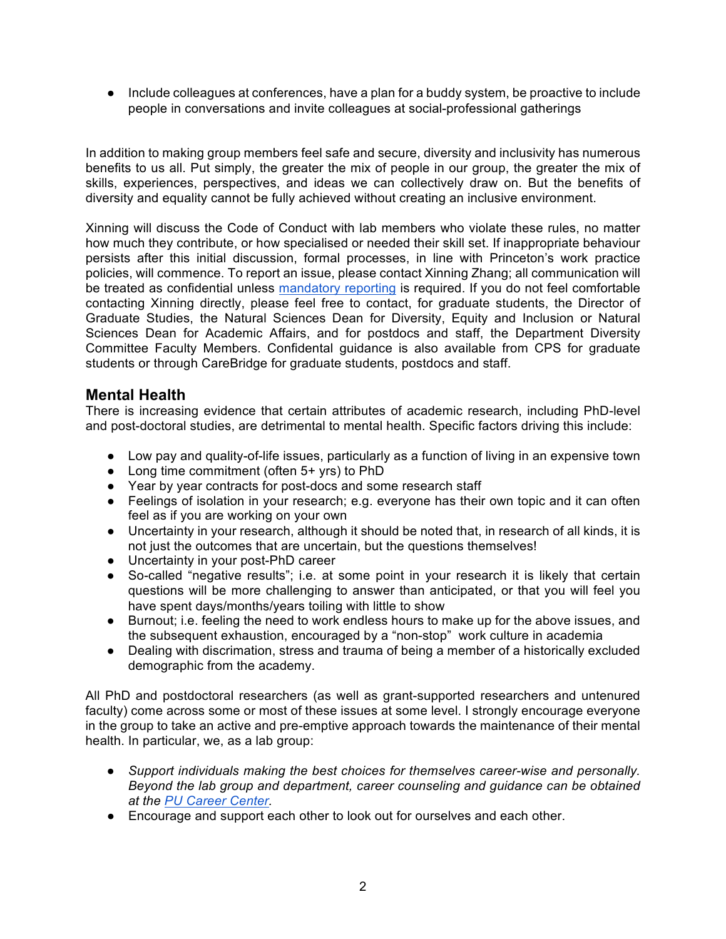● Include colleagues at conferences, have a plan for a buddy system, be proactive to include people in conversations and invite colleagues at social-professional gatherings

 In addition to making group members feel safe and secure, diversity and inclusivity has numerous benefits to us all. Put simply, the greater the mix of people in our group, the greater the mix of skills, experiences, perspectives, and ideas we can collectively draw on. But the benefits of diversity and equality cannot be fully achieved without creating an inclusive environment.

 Xinning will discuss the Code of Conduct with lab members who violate these rules, no matter how much they contribute, or how specialised or needed their skill set. If inappropriate behaviour persists after this initial discussion, formal processes, in line with Princeton's work practice policies, will commence. To report an issue, please contact Xinning Zhang; all communication will be treated as confidential unless mandatory reporting is required. If you do not feel comfortable contacting Xinning directly, please feel free to contact, for graduate students, the Director of Graduate Studies, the Natural Sciences Dean for Diversity, Equity and Inclusion or Natural Sciences Dean for Academic Affairs, and for postdocs and staff, the Department Diversity Committee Faculty Members. Confidental guidance is also available from CPS for graduate students or through CareBridge for graduate students, postdocs and staff.

# **Mental Health**

 There is increasing evidence that certain attributes of academic research, including PhD-level and post-doctoral studies, are detrimental to mental health. Specific factors driving this include:

- Low pay and quality-of-life issues, particularly as a function of living in an expensive town
- Long time commitment (often 5+ yrs) to PhD
- Year by year contracts for post-docs and some research staff
- ● Feelings of isolation in your research; e.g. everyone has their own topic and it can often feel as if you are working on your own
- ● Uncertainty in your research, although it should be noted that, in research of all kinds, it is not just the outcomes that are uncertain, but the questions themselves!
- Uncertainty in your post-PhD career
- ● So-called "negative results"; i.e. at some point in your research it is likely that certain questions will be more challenging to answer than anticipated, or that you will feel you have spent days/months/years toiling with little to show
- ● Burnout; i.e. feeling the need to work endless hours to make up for the above issues, and the subsequent exhaustion, encouraged by a "non-stop" work culture in academia
- ● Dealing with discrimation, stress and trauma of being a member of a historically excluded demographic from the academy.

 All PhD and postdoctoral researchers (as well as grant-supported researchers and untenured faculty) come across some or most of these issues at some level. I strongly encourage everyone in the group to take an active and pre-emptive approach towards the maintenance of their mental health. In particular, we, as a lab group:

- *Support individuals making the best choices for themselves career-wise and personally. Beyond the lab group and department, career counseling and guidance can be obtained at the PU Career Center.*
- Encourage and support each other to look out for ourselves and each other.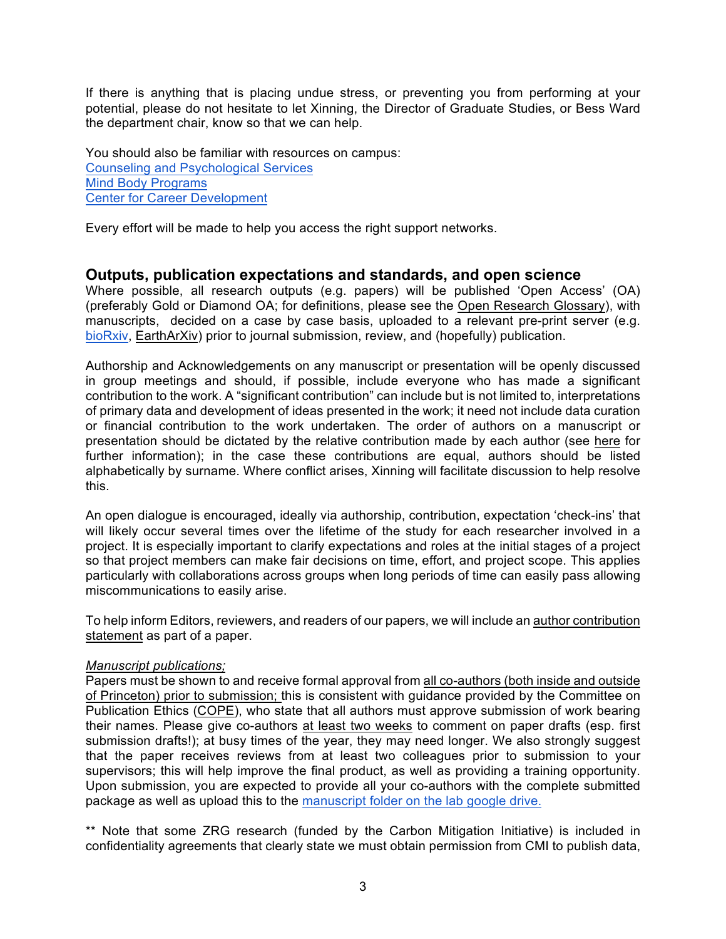If there is anything that is placing undue stress, or preventing you from performing at your potential, please do not hesitate to let Xinning, the Director of Graduate Studies, or Bess Ward the department chair, know so that we can help.

 You should also be familiar with resources on campus: Counseling and Psychological Services Mind Body Programs **Center for Career Development** 

Every effort will be made to help you access the right support networks.

## **Outputs, publication expectations and standards, and open science**

 Where possible, all research outputs (e.g. papers) will be published 'Open Access' (OA) (preferably Gold or Diamond OA; for definitions, please see the Open Research Glossary), with manuscripts, decided on a case by case basis, uploaded to a relevant pre-print server (e.g. bioRxiv, EarthArXiv) prior to journal submission, review, and (hopefully) publication.

 Authorship and Acknowledgements on any manuscript or presentation will be openly discussed in group meetings and should, if possible, include everyone who has made a significant contribution to the work. A "significant contribution" can include but is not limited to, interpretations of primary data and development of ideas presented in the work; it need not include data curation or financial contribution to the work undertaken. The order of authors on a manuscript or further information); in the case these contributions are equal, authors should be listed alphabetically by surname. Where conflict arises, Xinning will facilitate discussion to help resolve presentation should be dictated by the relative contribution made by each author (see here for this.

 An open dialogue is encouraged, ideally via authorship, contribution, expectation 'check-ins' that will likely occur several times over the lifetime of the study for each researcher involved in a project. It is especially important to clarify expectations and roles at the initial stages of a project so that project members can make fair decisions on time, effort, and project scope. This applies particularly with collaborations across groups when long periods of time can easily pass allowing miscommunications to easily arise.

To help inform Editors, reviewers, and readers of our papers, we will include an author contribution statement as part of a paper.

## *Manuscript publications;*

Papers must be shown to and receive formal approval from all co-authors (both inside and outside of Princeton) prior to submission; this is consistent with guidance provided by the Committee on Publication Ethics (COPE), who state that all authors must approve submission of work bearing their names. Please give co-authors at least two weeks to comment on paper drafts (esp. first submission drafts!); at busy times of the year, they may need longer. We also strongly suggest that the paper receives reviews from at least two colleagues prior to submission to your supervisors; this will help improve the final product, as well as providing a training opportunity. Upon submission, you are expected to provide all your co-authors with the complete submitted package as well as upload this to the manuscript folder on the lab google drive.

 \*\* Note that some ZRG research (funded by the Carbon Mitigation Initiative) is included in confidentiality agreements that clearly state we must obtain permission from CMI to publish data,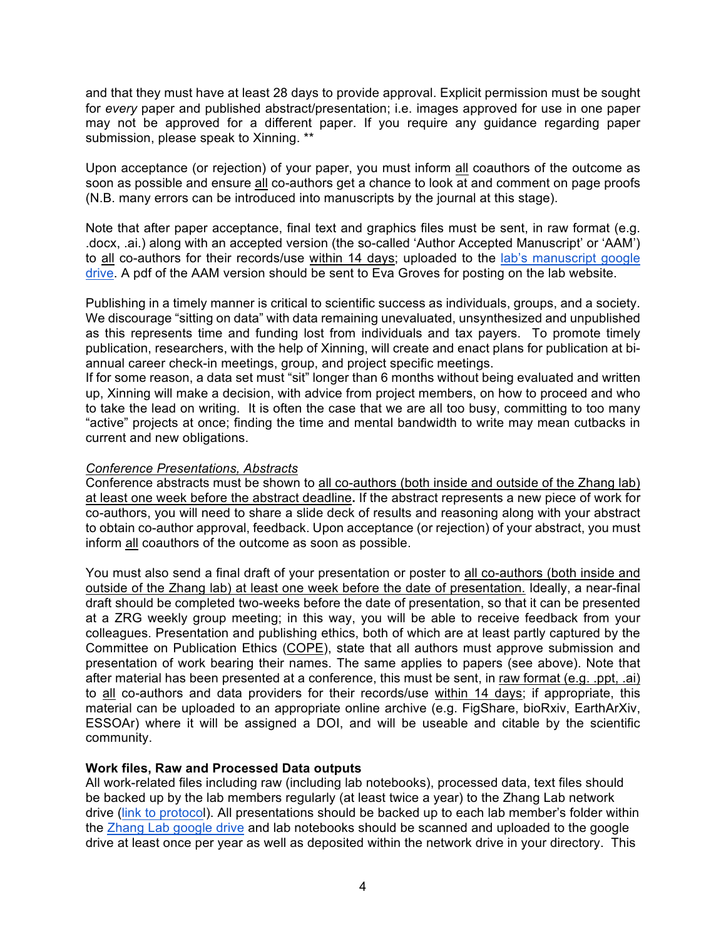and that they must have at least 28 days to provide approval. Explicit permission must be sought for *every* paper and published abstract/presentation; i.e. images approved for use in one paper may not be approved for a different paper. If you require any guidance regarding paper submission, please speak to Xinning. \*\*

Upon acceptance (or rejection) of your paper, you must inform all coauthors of the outcome as soon as possible and ensure all co-authors get a chance to look at and comment on page proofs (N.B. many errors can be introduced into manuscripts by the journal at this stage).

 Note that after paper acceptance, final text and graphics files must be sent, in raw format (e.g. .docx, .ai.) along with an accepted version (the so-called 'Author Accepted Manuscript' or 'AAM') to all co-authors for their records/use within 14 days; uploaded to the lab's manuscript google drive. A pdf of the AAM version should be sent to Eva Groves for posting on the lab website.

 Publishing in a timely manner is critical to scientific success as individuals, groups, and a society. We discourage "sitting on data" with data remaining unevaluated, unsynthesized and unpublished as this represents time and funding lost from individuals and tax payers. To promote timely publication, researchers, with the help of Xinning, will create and enact plans for publication at bi-annual career check-in meetings, group, and project specific meetings.

 If for some reason, a data set must "sit" longer than 6 months without being evaluated and written up, Xinning will make a decision, with advice from project members, on how to proceed and who to take the lead on writing. It is often the case that we are all too busy, committing to too many "active" projects at once; finding the time and mental bandwidth to write may mean cutbacks in current and new obligations.

## *Conference Presentations, Abstracts*

Conference abstracts must be shown to all co-authors (both inside and outside of the Zhang lab) at least one week before the abstract deadline**.** If the abstract represents a new piece of work for co-authors, you will need to share a slide deck of results and reasoning along with your abstract to obtain co-author approval, feedback. Upon acceptance (or rejection) of your abstract, you must inform all coauthors of the outcome as soon as possible.

You must also send a final draft of your presentation or poster to all co-authors (both inside and outside of the Zhang lab) at least one week before the date of presentation. Ideally, a near-final draft should be completed two-weeks before the date of presentation, so that it can be presented at a ZRG weekly group meeting; in this way, you will be able to receive feedback from your colleagues. Presentation and publishing ethics, both of which are at least partly captured by the Committee on Publication Ethics (COPE), state that all authors must approve submission and presentation of work bearing their names. The same applies to papers (see above). Note that after material has been presented at a conference, this must be sent, in raw format (e.g. .ppt, .ai) to all co-authors and data providers for their records/use within 14 days; if appropriate, this material can be uploaded to an appropriate online archive (e.g. FigShare, bioRxiv, EarthArXiv, ESSOAr) where it will be assigned a DOI, and will be useable and citable by the scientific community.

## **Work files, Raw and Processed Data outputs**

 All work-related files including raw (including lab notebooks), processed data, text files should be backed up by the lab members regularly (at least twice a year) to the Zhang Lab network drive (link to protocol). All presentations should be backed up to each lab member's folder within the Zhang Lab google drive and lab notebooks should be scanned and uploaded to the google drive at least once per year as well as deposited within the network drive in your directory. This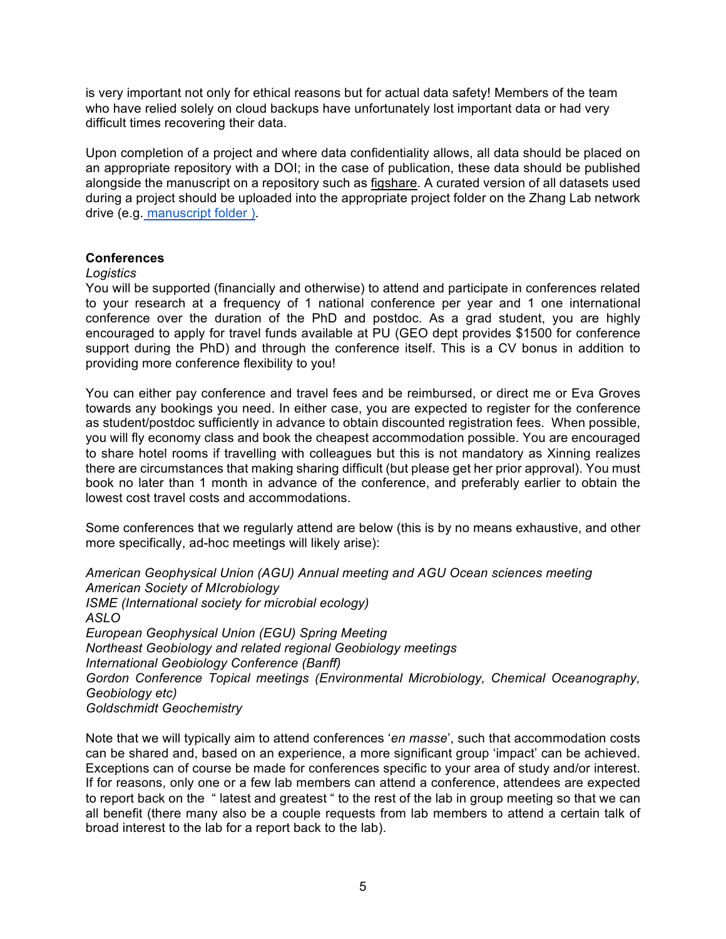is very important not only for ethical reasons but for actual data safety! Members of the team who have relied solely on cloud backups have unfortunately lost important data or had very difficult times recovering their data.

 Upon completion of a project and where data confidentiality allows, all data should be placed on alongside the manuscript on a repository such as figshare. A curated version of all datasets used during a project should be uploaded into the appropriate project folder on the Zhang Lab network drive (e.g. manuscript folder ). an appropriate repository with a DOI; in the case of publication, these data should be published

## **Conferences**

#### *Logistics*

 You will be supported (financially and otherwise) to attend and participate in conferences related to your research at a frequency of 1 national conference per year and 1 one international conference over the duration of the PhD and postdoc. As a grad student, you are highly encouraged to apply for travel funds available at PU (GEO dept provides \$1500 for conference support during the PhD) and through the conference itself. This is a CV bonus in addition to providing more conference flexibility to you!

 You can either pay conference and travel fees and be reimbursed, or direct me or Eva Groves towards any bookings you need. In either case, you are expected to register for the conference as student/postdoc sufficiently in advance to obtain discounted registration fees. When possible, you will fly economy class and book the cheapest accommodation possible. You are encouraged to share hotel rooms if travelling with colleagues but this is not mandatory as Xinning realizes there are circumstances that making sharing difficult (but please get her prior approval). You must book no later than 1 month in advance of the conference, and preferably earlier to obtain the lowest cost travel costs and accommodations.

 Some conferences that we regularly attend are below (this is by no means exhaustive, and other more specifically, ad-hoc meetings will likely arise):

 *American Geophysical Union (AGU) Annual meeting and AGU Ocean sciences meeting American Society of MIcrobiology European Geophysical Union (EGU) Spring Meeting Northeast Geobiology and related regional Geobiology meetings*  Gordon Conference Topical meetings (Environmental Microbiology, Chemical Oceanography, *ISME (International society for microbial ecology) ASLO International Geobiology Conference (Banff) Geobiology etc) Goldschmidt Geochemistry* 

 Note that we will typically aim to attend conferences '*en masse*', such that accommodation costs can be shared and, based on an experience, a more significant group 'impact' can be achieved. Exceptions can of course be made for conferences specific to your area of study and/or interest. If for reasons, only one or a few lab members can attend a conference, attendees are expected to report back on the " latest and greatest " to the rest of the lab in group meeting so that we can all benefit (there many also be a couple requests from lab members to attend a certain talk of broad interest to the lab for a report back to the lab).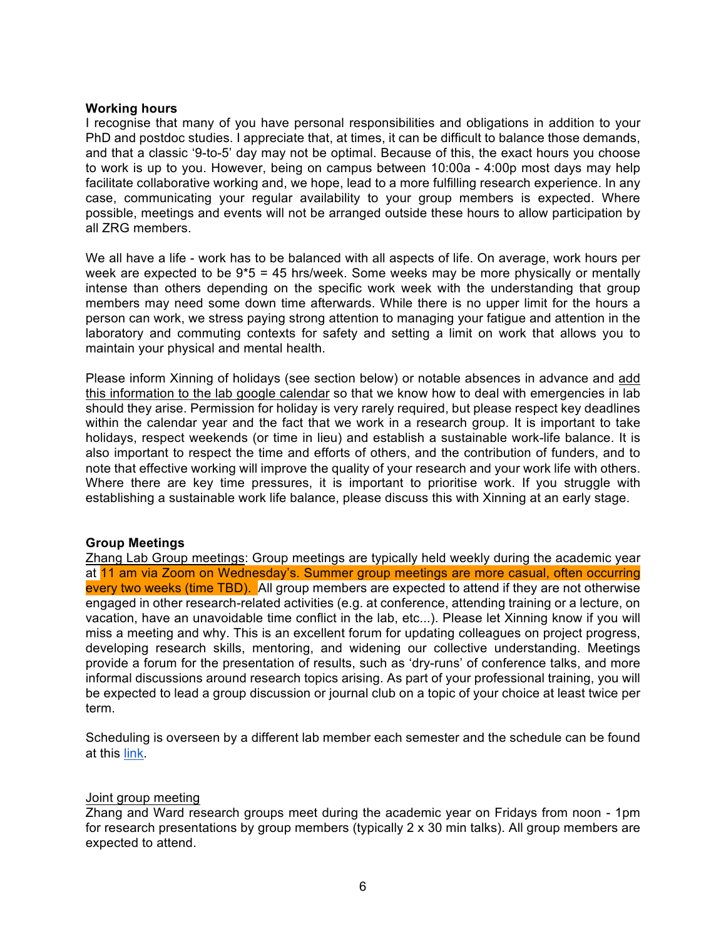#### **Working hours**

 I recognise that many of you have personal responsibilities and obligations in addition to your PhD and postdoc studies. I appreciate that, at times, it can be difficult to balance those demands, and that a classic '9-to-5' day may not be optimal. Because of this, the exact hours you choose to work is up to you. However, being on campus between 10:00a - 4:00p most days may help facilitate collaborative working and, we hope, lead to a more fulfilling research experience. In any case, communicating your regular availability to your group members is expected. Where possible, meetings and events will not be arranged outside these hours to allow participation by all ZRG members.

 We all have a life - work has to be balanced with all aspects of life. On average, work hours per week are expected to be 9\*5 = 45 hrs/week. Some weeks may be more physically or mentally intense than others depending on the specific work week with the understanding that group members may need some down time afterwards. While there is no upper limit for the hours a person can work, we stress paying strong attention to managing your fatigue and attention in the laboratory and commuting contexts for safety and setting a limit on work that allows you to maintain your physical and mental health.

Please inform Xinning of holidays (see section below) or notable absences in advance and add this information to the lab google calendar so that we know how to deal with emergencies in lab should they arise. Permission for holiday is very rarely required, but please respect key deadlines within the calendar year and the fact that we work in a research group. It is important to take holidays, respect weekends (or time in lieu) and establish a sustainable work-life balance. It is also important to respect the time and efforts of others, and the contribution of funders, and to note that effective working will improve the quality of your research and your work life with others. Where there are key time pressures, it is important to prioritise work. If you struggle with establishing a sustainable work life balance, please discuss this with Xinning at an early stage.

#### **Group Meetings**

 Zhang Lab Group meetings: Group meetings are typically held weekly during the academic year at 11 am via Zoom on Wednesday's. Summer group meetings are more casual, often occurring every two weeks (time TBD). All group members are expected to attend if they are not otherwise engaged in other research-related activities (e.g. at conference, attending training or a lecture, on vacation, have an unavoidable time conflict in the lab, etc...). Please let Xinning know if you will miss a meeting and why. This is an excellent forum for updating colleagues on project progress, developing research skills, mentoring, and widening our collective understanding. Meetings provide a forum for the presentation of results, such as 'dry-runs' of conference talks, and more informal discussions around research topics arising. As part of your professional training, you will be expected to lead a group discussion or journal club on a topic of your choice at least twice per term.

 Scheduling is overseen by a different lab member each semester and the schedule can be found at this <u>link</u>.

#### Joint group meeting

 Zhang and Ward research groups meet during the academic year on Fridays from noon - 1pm for research presentations by group members (typically 2 x 30 min talks). All group members are expected to attend.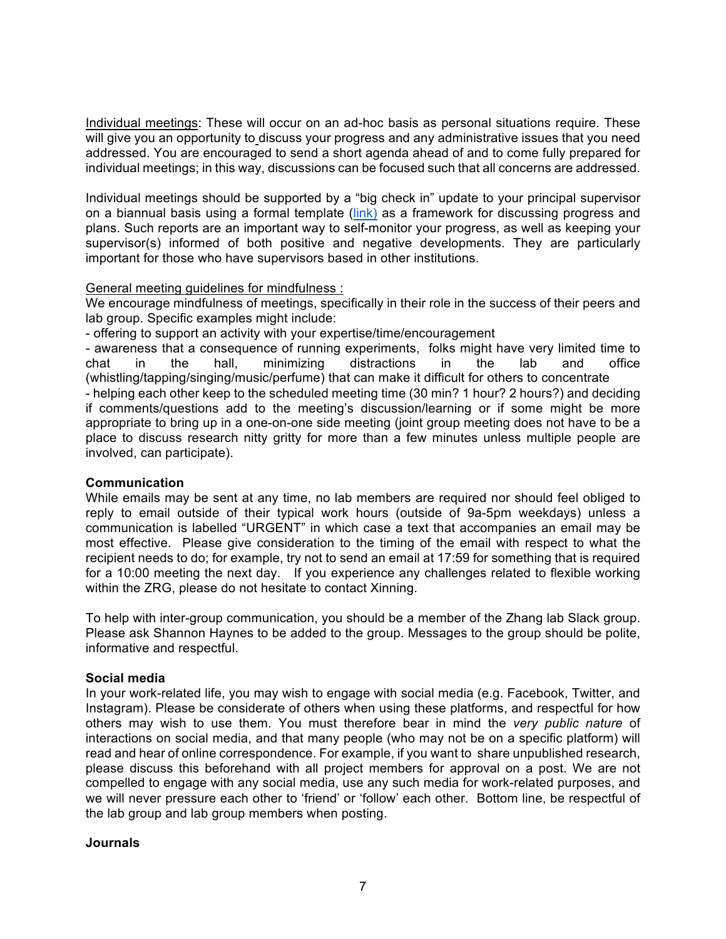Individual meetings: These will occur on an ad-hoc basis as personal situations require. These will give you an opportunity to discuss your progress and any administrative issues that you need individual meetings; in this way, discussions can be focused such that all concerns are addressed. addressed. You are encouraged to send a short agenda ahead of and to come fully prepared for

 Individual meetings should be supported by a "big check in" update to your principal supervisor on a biannual basis using a formal template (*link*) as a framework for discussing progress and plans. Such reports are an important way to self-monitor your progress, as well as keeping your supervisor(s) informed of both positive and negative developments. They are particularly important for those who have supervisors based in other institutions.

## General meeting guidelines for mindfulness :

 We encourage mindfulness of meetings, specifically in their role in the success of their peers and lab group. Specific examples might include:

- offering to support an activity with your expertise/time/encouragement

 - awareness that a consequence of running experiments, folks might have very limited time to chat chat in the hall, minimizing distractions in the lab and office (whistling/tapping/singing/music/perfume) that can make it difficult for others to concentrate

 if comments/questions add to the meeting's discussion/learning or if some might be more appropriate to bring up in a one-on-one side meeting (joint group meeting does not have to be a place to discuss research nitty gritty for more than a few minutes unless multiple people are involved, can participate). - helping each other keep to the scheduled meeting time (30 min? 1 hour? 2 hours?) and deciding

## **Communication**

 While emails may be sent at any time, no lab members are required nor should feel obliged to reply to email outside of their typical work hours (outside of 9a-5pm weekdays) unless a communication is labelled "URGENT" in which case a text that accompanies an email may be most effective. Please give consideration to the timing of the email with respect to what the recipient needs to do; for example, try not to send an email at 17:59 for something that is required for a 10:00 meeting the next day. If you experience any challenges related to flexible working within the ZRG, please do not hesitate to contact Xinning.

 To help with inter-group communication, you should be a member of the Zhang lab Slack group. Please ask Shannon Haynes to be added to the group. Messages to the group should be polite, informative and respectful.

## **Social media**

 In your work-related life, you may wish to engage with social media (e.g. Facebook, Twitter, and Instagram). Please be considerate of others when using these platforms, and respectful for how others may wish to use them. You must therefore bear in mind the *very public nature* of interactions on social media, and that many people (who may not be on a specific platform) will read and hear of online correspondence. For example, if you want to share unpublished research, please discuss this beforehand with all project members for approval on a post. We are not compelled to engage with any social media, use any such media for work-related purposes, and we will never pressure each other to 'friend' or 'follow' each other. Bottom line, be respectful of the lab group and lab group members when posting.

## **Journals**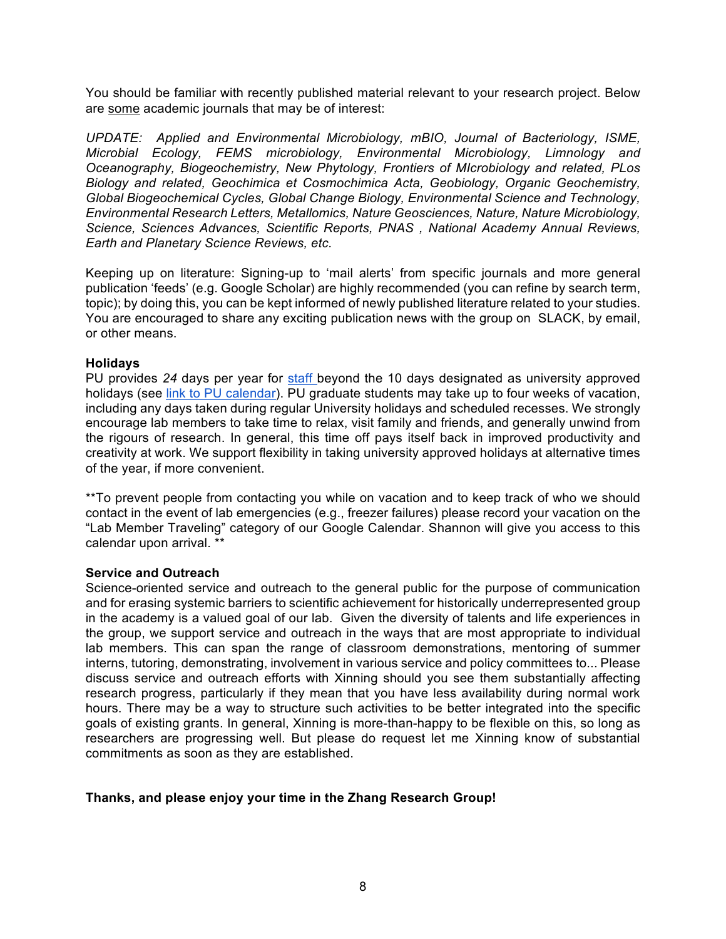You should be familiar with recently published material relevant to your research project. Below are some academic journals that may be of interest:

 *UPDATE: Applied and Environmental Microbiology, mBIO, Journal of Bacteriology, ISME,*  Microbial Ecology, FEMS microbiology, Environmental Microbiology, Limnology and  *Oceanography, Biogeochemistry, New Phytology, Frontiers of MIcrobiology and related, PLos Biology and related, Geochimica et Cosmochimica Acta, Geobiology, Organic Geochemistry, Global Biogeochemical Cycles, Global Change Biology, Environmental Science and Technology, Environmental Research Letters, Metallomics, Nature Geosciences, Nature, Nature Microbiology, Science, Sciences Advances, Scientific Reports, PNAS , National Academy Annual Reviews, Earth and Planetary Science Reviews, etc.* 

 Keeping up on literature: Signing-up to 'mail alerts' from specific journals and more general publication 'feeds' (e.g. Google Scholar) are highly recommended (you can refine by search term, topic); by doing this, you can be kept informed of newly published literature related to your studies. You are encouraged to share any exciting publication news with the group on SLACK, by email, or other means.

### **Holidays**

 PU provides *24* days per year for staff beyond the 10 days designated as university approved holidays (see link to PU calendar). PU graduate students may take up to four weeks of vacation, including any days taken during regular University holidays and scheduled recesses. We strongly the rigours of research. In general, this time off pays itself back in improved productivity and creativity at work. We support flexibility in taking university approved holidays at alternative times of the year, if more convenient. encourage lab members to take time to relax, visit family and friends, and generally unwind from

 \*\*To prevent people from contacting you while on vacation and to keep track of who we should contact in the event of lab emergencies (e.g., freezer failures) please record your vacation on the "Lab Member Traveling" category of our Google Calendar. Shannon will give you access to this calendar upon arrival. \*\*

#### **Service and Outreach**

 Science-oriented service and outreach to the general public for the purpose of communication and for erasing systemic barriers to scientific achievement for historically underrepresented group in the academy is a valued goal of our lab. Given the diversity of talents and life experiences in the group, we support service and outreach in the ways that are most appropriate to individual lab members. This can span the range of classroom demonstrations, mentoring of summer interns, tutoring, demonstrating, involvement in various service and policy committees to... Please research progress, particularly if they mean that you have less availability during normal work hours. There may be a way to structure such activities to be better integrated into the specific goals of existing grants. In general, Xinning is more-than-happy to be flexible on this, so long as researchers are progressing well. But please do request let me Xinning know of substantial commitments as soon as they are established. discuss service and outreach efforts with Xinning should you see them substantially affecting

## **Thanks, and please enjoy your time in the Zhang Research Group!**